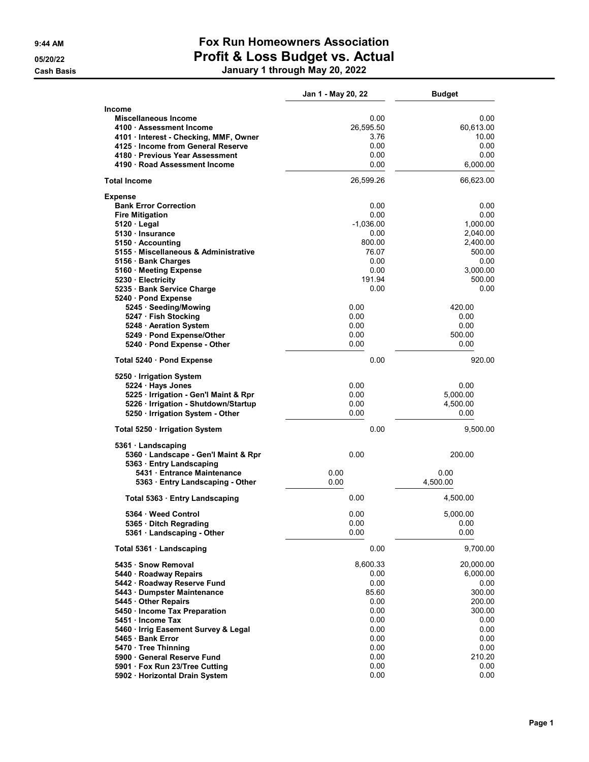## 9:44 AM Fox Run Homeowners Association 05/20/22 **Profit & Loss Budget vs. Actual** Cash Basis January 1 through May 20, 2022

| <b>Income</b><br>Miscellaneous Income<br>0.00<br>26,595.50<br>60,613.00<br>4100 · Assessment Income<br>4101 · Interest - Checking, MMF, Owner<br>3.76<br>0.00<br>4125 Income from General Reserve<br>4180 Previous Year Assessment<br>0.00<br>0.00<br>6,000.00<br>4190 · Road Assessment Income<br><b>Total Income</b><br>26,599.26<br>66,623.00<br><b>Expense</b><br><b>Bank Error Correction</b><br>0.00<br><b>Fire Mitigation</b><br>0.00<br>$5120 \cdot$ Legal<br>$-1,036.00$<br>1,000.00<br>5130 · Insurance<br>0.00<br>2,040.00<br>800.00<br>2,400.00<br>5150 Accounting<br>5155 · Miscellaneous & Administrative<br>76.07<br>500.00<br>5156 · Bank Charges<br>0.00<br>5160 · Meeting Expense<br>0.00<br>3,000.00<br>191.94<br>500.00<br>5230 Electricity<br>0.00<br>5235 · Bank Service Charge<br>5240 · Pond Expense<br>0.00<br>5245 · Seeding/Mowing<br>420.00<br>5247 · Fish Stocking<br>0.00<br>0.00<br>0.00<br>5248 Aeration System<br>0.00<br>5249 · Pond Expense/Other<br>0.00<br>500.00<br>5240 · Pond Expense - Other<br>0.00<br>0.00 | 0.00<br>10.00<br>0.00<br>0.00<br>0.00<br>0.00<br>0.00<br>0.00<br>920.00 |
|-------------------------------------------------------------------------------------------------------------------------------------------------------------------------------------------------------------------------------------------------------------------------------------------------------------------------------------------------------------------------------------------------------------------------------------------------------------------------------------------------------------------------------------------------------------------------------------------------------------------------------------------------------------------------------------------------------------------------------------------------------------------------------------------------------------------------------------------------------------------------------------------------------------------------------------------------------------------------------------------------------------------------------------------------------|-------------------------------------------------------------------------|
|                                                                                                                                                                                                                                                                                                                                                                                                                                                                                                                                                                                                                                                                                                                                                                                                                                                                                                                                                                                                                                                       |                                                                         |
|                                                                                                                                                                                                                                                                                                                                                                                                                                                                                                                                                                                                                                                                                                                                                                                                                                                                                                                                                                                                                                                       |                                                                         |
|                                                                                                                                                                                                                                                                                                                                                                                                                                                                                                                                                                                                                                                                                                                                                                                                                                                                                                                                                                                                                                                       |                                                                         |
|                                                                                                                                                                                                                                                                                                                                                                                                                                                                                                                                                                                                                                                                                                                                                                                                                                                                                                                                                                                                                                                       |                                                                         |
|                                                                                                                                                                                                                                                                                                                                                                                                                                                                                                                                                                                                                                                                                                                                                                                                                                                                                                                                                                                                                                                       |                                                                         |
|                                                                                                                                                                                                                                                                                                                                                                                                                                                                                                                                                                                                                                                                                                                                                                                                                                                                                                                                                                                                                                                       |                                                                         |
|                                                                                                                                                                                                                                                                                                                                                                                                                                                                                                                                                                                                                                                                                                                                                                                                                                                                                                                                                                                                                                                       |                                                                         |
|                                                                                                                                                                                                                                                                                                                                                                                                                                                                                                                                                                                                                                                                                                                                                                                                                                                                                                                                                                                                                                                       |                                                                         |
|                                                                                                                                                                                                                                                                                                                                                                                                                                                                                                                                                                                                                                                                                                                                                                                                                                                                                                                                                                                                                                                       |                                                                         |
|                                                                                                                                                                                                                                                                                                                                                                                                                                                                                                                                                                                                                                                                                                                                                                                                                                                                                                                                                                                                                                                       |                                                                         |
|                                                                                                                                                                                                                                                                                                                                                                                                                                                                                                                                                                                                                                                                                                                                                                                                                                                                                                                                                                                                                                                       |                                                                         |
|                                                                                                                                                                                                                                                                                                                                                                                                                                                                                                                                                                                                                                                                                                                                                                                                                                                                                                                                                                                                                                                       |                                                                         |
|                                                                                                                                                                                                                                                                                                                                                                                                                                                                                                                                                                                                                                                                                                                                                                                                                                                                                                                                                                                                                                                       |                                                                         |
|                                                                                                                                                                                                                                                                                                                                                                                                                                                                                                                                                                                                                                                                                                                                                                                                                                                                                                                                                                                                                                                       |                                                                         |
|                                                                                                                                                                                                                                                                                                                                                                                                                                                                                                                                                                                                                                                                                                                                                                                                                                                                                                                                                                                                                                                       |                                                                         |
|                                                                                                                                                                                                                                                                                                                                                                                                                                                                                                                                                                                                                                                                                                                                                                                                                                                                                                                                                                                                                                                       |                                                                         |
|                                                                                                                                                                                                                                                                                                                                                                                                                                                                                                                                                                                                                                                                                                                                                                                                                                                                                                                                                                                                                                                       |                                                                         |
|                                                                                                                                                                                                                                                                                                                                                                                                                                                                                                                                                                                                                                                                                                                                                                                                                                                                                                                                                                                                                                                       |                                                                         |
|                                                                                                                                                                                                                                                                                                                                                                                                                                                                                                                                                                                                                                                                                                                                                                                                                                                                                                                                                                                                                                                       |                                                                         |
|                                                                                                                                                                                                                                                                                                                                                                                                                                                                                                                                                                                                                                                                                                                                                                                                                                                                                                                                                                                                                                                       |                                                                         |
|                                                                                                                                                                                                                                                                                                                                                                                                                                                                                                                                                                                                                                                                                                                                                                                                                                                                                                                                                                                                                                                       |                                                                         |
|                                                                                                                                                                                                                                                                                                                                                                                                                                                                                                                                                                                                                                                                                                                                                                                                                                                                                                                                                                                                                                                       |                                                                         |
|                                                                                                                                                                                                                                                                                                                                                                                                                                                                                                                                                                                                                                                                                                                                                                                                                                                                                                                                                                                                                                                       |                                                                         |
|                                                                                                                                                                                                                                                                                                                                                                                                                                                                                                                                                                                                                                                                                                                                                                                                                                                                                                                                                                                                                                                       |                                                                         |
| 0.00<br>Total 5240 · Pond Expense                                                                                                                                                                                                                                                                                                                                                                                                                                                                                                                                                                                                                                                                                                                                                                                                                                                                                                                                                                                                                     |                                                                         |
| 5250 · Irrigation System                                                                                                                                                                                                                                                                                                                                                                                                                                                                                                                                                                                                                                                                                                                                                                                                                                                                                                                                                                                                                              |                                                                         |
| 5224 Hays Jones<br>0.00<br>0.00                                                                                                                                                                                                                                                                                                                                                                                                                                                                                                                                                                                                                                                                                                                                                                                                                                                                                                                                                                                                                       |                                                                         |
| 0.00<br>5,000.00<br>5225 · Irrigation - Gen'l Maint & Rpr                                                                                                                                                                                                                                                                                                                                                                                                                                                                                                                                                                                                                                                                                                                                                                                                                                                                                                                                                                                             |                                                                         |
| 5226 · Irrigation - Shutdown/Startup<br>0.00<br>4,500.00                                                                                                                                                                                                                                                                                                                                                                                                                                                                                                                                                                                                                                                                                                                                                                                                                                                                                                                                                                                              |                                                                         |
| 5250 · Irrigation System - Other<br>0.00<br>0.00                                                                                                                                                                                                                                                                                                                                                                                                                                                                                                                                                                                                                                                                                                                                                                                                                                                                                                                                                                                                      |                                                                         |
| 0.00<br>9,500.00<br>Total 5250 · Irrigation System                                                                                                                                                                                                                                                                                                                                                                                                                                                                                                                                                                                                                                                                                                                                                                                                                                                                                                                                                                                                    |                                                                         |
| $5361 \cdot$ Landscaping                                                                                                                                                                                                                                                                                                                                                                                                                                                                                                                                                                                                                                                                                                                                                                                                                                                                                                                                                                                                                              |                                                                         |
| 0.00<br>200.00<br>5360 · Landscape - Gen'l Maint & Rpr                                                                                                                                                                                                                                                                                                                                                                                                                                                                                                                                                                                                                                                                                                                                                                                                                                                                                                                                                                                                |                                                                         |
| 5363 · Entry Landscaping                                                                                                                                                                                                                                                                                                                                                                                                                                                                                                                                                                                                                                                                                                                                                                                                                                                                                                                                                                                                                              |                                                                         |
| 5431 · Entrance Maintenance<br>0.00<br>0.00                                                                                                                                                                                                                                                                                                                                                                                                                                                                                                                                                                                                                                                                                                                                                                                                                                                                                                                                                                                                           |                                                                         |
| 0.00<br>4,500.00<br>5363 Entry Landscaping - Other                                                                                                                                                                                                                                                                                                                                                                                                                                                                                                                                                                                                                                                                                                                                                                                                                                                                                                                                                                                                    |                                                                         |
| 0.00<br>4,500.00<br>Total 5363 · Entry Landscaping                                                                                                                                                                                                                                                                                                                                                                                                                                                                                                                                                                                                                                                                                                                                                                                                                                                                                                                                                                                                    |                                                                         |
| 0.00<br>5364 Weed Control<br>5,000.00                                                                                                                                                                                                                                                                                                                                                                                                                                                                                                                                                                                                                                                                                                                                                                                                                                                                                                                                                                                                                 |                                                                         |
| 0.00<br>0.00<br>5365 · Ditch Regrading                                                                                                                                                                                                                                                                                                                                                                                                                                                                                                                                                                                                                                                                                                                                                                                                                                                                                                                                                                                                                |                                                                         |
| 5361 Landscaping - Other<br>0.00<br>0.00                                                                                                                                                                                                                                                                                                                                                                                                                                                                                                                                                                                                                                                                                                                                                                                                                                                                                                                                                                                                              |                                                                         |
| 0.00<br>9,700.00<br>Total 5361 · Landscaping                                                                                                                                                                                                                                                                                                                                                                                                                                                                                                                                                                                                                                                                                                                                                                                                                                                                                                                                                                                                          |                                                                         |
| 8,600.33<br>5435 · Snow Removal<br>20,000.00                                                                                                                                                                                                                                                                                                                                                                                                                                                                                                                                                                                                                                                                                                                                                                                                                                                                                                                                                                                                          |                                                                         |
| 0.00<br>6,000.00<br>5440 · Roadway Repairs                                                                                                                                                                                                                                                                                                                                                                                                                                                                                                                                                                                                                                                                                                                                                                                                                                                                                                                                                                                                            |                                                                         |
| 5442 · Roadway Reserve Fund<br>0.00                                                                                                                                                                                                                                                                                                                                                                                                                                                                                                                                                                                                                                                                                                                                                                                                                                                                                                                                                                                                                   | 0.00                                                                    |
| 300.00<br>5443 · Dumpster Maintenance<br>85.60                                                                                                                                                                                                                                                                                                                                                                                                                                                                                                                                                                                                                                                                                                                                                                                                                                                                                                                                                                                                        |                                                                         |
| 5445 Other Repairs<br>0.00<br>200.00                                                                                                                                                                                                                                                                                                                                                                                                                                                                                                                                                                                                                                                                                                                                                                                                                                                                                                                                                                                                                  |                                                                         |
| 0.00<br>300.00<br>5450 · Income Tax Preparation                                                                                                                                                                                                                                                                                                                                                                                                                                                                                                                                                                                                                                                                                                                                                                                                                                                                                                                                                                                                       |                                                                         |
| 5451 Income Tax<br>0.00                                                                                                                                                                                                                                                                                                                                                                                                                                                                                                                                                                                                                                                                                                                                                                                                                                                                                                                                                                                                                               | 0.00                                                                    |
| 0.00<br>5460 · Irrig Easement Survey & Legal<br>0.00                                                                                                                                                                                                                                                                                                                                                                                                                                                                                                                                                                                                                                                                                                                                                                                                                                                                                                                                                                                                  | 0.00<br>0.00                                                            |
| 5465 · Bank Error<br>5470 · Tree Thinning<br>0.00                                                                                                                                                                                                                                                                                                                                                                                                                                                                                                                                                                                                                                                                                                                                                                                                                                                                                                                                                                                                     | 0.00                                                                    |
| 0.00<br>210.20<br>5900 General Reserve Fund                                                                                                                                                                                                                                                                                                                                                                                                                                                                                                                                                                                                                                                                                                                                                                                                                                                                                                                                                                                                           |                                                                         |
| 5901 · Fox Run 23/Tree Cutting<br>0.00                                                                                                                                                                                                                                                                                                                                                                                                                                                                                                                                                                                                                                                                                                                                                                                                                                                                                                                                                                                                                | 0.00                                                                    |
| 0.00<br>5902 · Horizontal Drain System                                                                                                                                                                                                                                                                                                                                                                                                                                                                                                                                                                                                                                                                                                                                                                                                                                                                                                                                                                                                                | 0.00                                                                    |